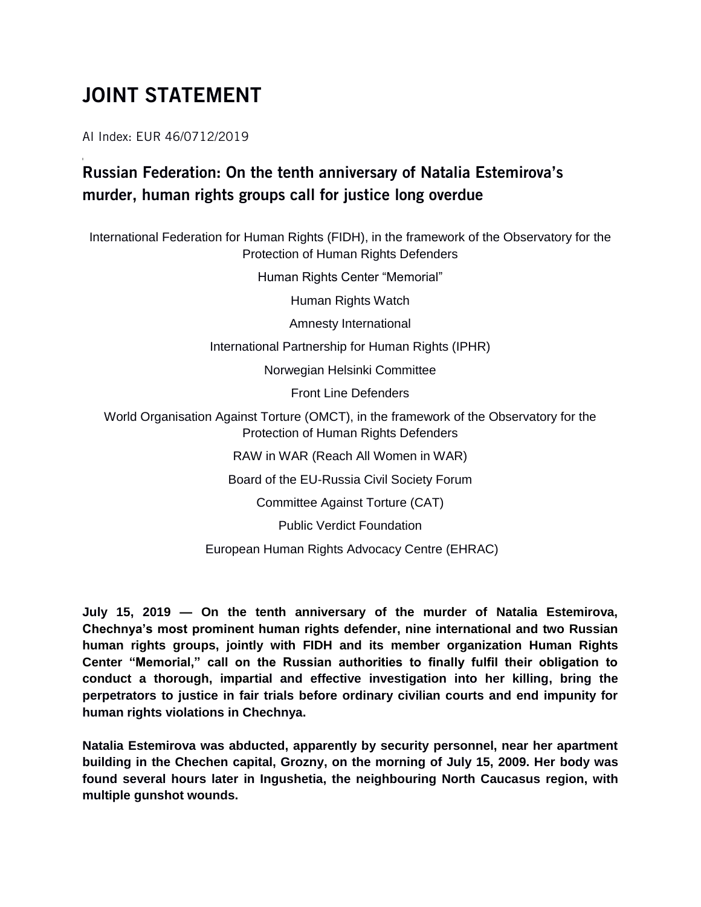## JOINT STATEMENT

AI Index: EUR 46/0712/2019

## Russian Federation: On the tenth anniversary of Natalia Estemirova's murder, human rights groups call for justice long overdue

International Federation for Human Rights (FIDH), in the framework of the Observatory for the Protection of Human Rights Defenders

Human Rights Center "Memorial"

Human Rights Watch

Amnesty International

International Partnership for Human Rights (IPHR)

Norwegian Helsinki Committee

Front Line Defenders

World Organisation Against Torture (OMCT), in the framework of the Observatory for the Protection of Human Rights Defenders

RAW in WAR (Reach All Women in WAR)

Board of the EU-Russia Civil Society Forum

Committee Against Torture (CAT)

Public Verdict Foundation

European Human Rights Advocacy Centre (EHRAC)

**July 15, 2019 — On the tenth anniversary of the murder of Natalia Estemirova, Chechnya's most prominent human rights defender, nine international and two Russian human rights groups, jointly with FIDH and its member organization Human Rights Center "Memorial," call on the Russian authorities to finally fulfil their obligation to conduct a thorough, impartial and effective investigation into her killing, bring the perpetrators to justice in fair trials before ordinary civilian courts and end impunity for human rights violations in Chechnya.**

**Natalia Estemirova was abducted, apparently by security personnel, near her apartment building in the Chechen capital, Grozny, on the morning of July 15, 2009. Her body was found several hours later in Ingushetia, the neighbouring North Caucasus region, with multiple gunshot wounds.**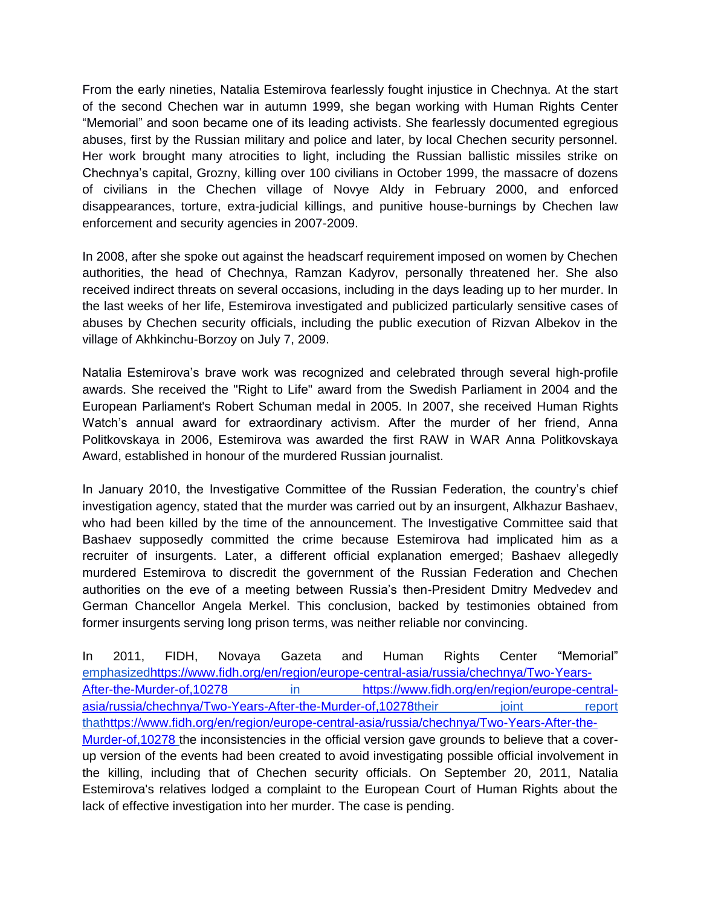From the early nineties, Natalia Estemirova fearlessly fought injustice in Chechnya. At the start of the second Chechen war in autumn 1999, she began working with Human Rights Center "Memorial" and soon became one of its leading activists. She fearlessly documented egregious abuses, first by the Russian military and police and later, by local Chechen security personnel. Her work brought many atrocities to light, including the Russian ballistic missiles strike on Chechnya's capital, Grozny, killing over 100 civilians in October 1999, the massacre of dozens of civilians in the Chechen village of Novye Aldy in February 2000, and enforced disappearances, torture, extra-judicial killings, and punitive house-burnings by Chechen law enforcement and security agencies in 2007-2009.

In 2008, after she spoke out against the headscarf requirement imposed on women by Chechen authorities, the head of Chechnya, Ramzan Kadyrov, personally threatened her. She also received indirect threats on several occasions, including in the days leading up to her murder. In the last weeks of her life, Estemirova investigated and publicized particularly sensitive cases of abuses by Chechen security officials, including the public execution of Rizvan Albekov in the village of Akhkinchu-Borzoy on July 7, 2009.

Natalia Estemirova's brave work was recognized and celebrated through several high-profile awards. She received the "Right to Life" award from the Swedish Parliament in 2004 and the European Parliament's Robert Schuman medal in 2005. In 2007, she received Human Rights Watch's annual award for extraordinary activism. After the murder of her friend, Anna Politkovskaya in 2006, Estemirova was awarded the first RAW in WAR Anna Politkovskaya Award, established in honour of the murdered Russian journalist.

In January 2010, the Investigative Committee of the Russian Federation, the country's chief investigation agency, stated that the murder was carried out by an insurgent, Alkhazur Bashaev, who had been killed by the time of the announcement. The Investigative Committee said that Bashaev supposedly committed the crime because Estemirova had implicated him as a recruiter of insurgents. Later, a different official explanation emerged; Bashaev allegedly murdered Estemirova to discredit the government of the Russian Federation and Chechen authorities on the eve of a meeting between Russia's then-President Dmitry Medvedev and German Chancellor Angela Merkel. This conclusion, backed by testimonies obtained from former insurgents serving long prison terms, was neither reliable nor convincing.

In 2011, FIDH, Novaya Gazeta and Human Rights Center "Memorial["](https://www.fidh.org/en/region/europe-central-asia/russia/chechnya/Two-Years-After-the-Murder-of,10278) [emphasizedhttps://www.fidh.org/en/region/europe-central-asia/russia/chechnya/Two-Years-](https://www.fidh.org/en/region/europe-central-asia/russia/chechnya/Two-Years-After-the-Murder-of,10278)[After-the-Murder-of,10278](https://www.fidh.org/en/region/europe-central-asia/russia/chechnya/Two-Years-After-the-Murder-of,10278) in [https://www.fidh.org/en/region/europe-central](https://www.fidh.org/en/region/europe-central-asia/russia/chechnya/Two-Years-After-the-Murder-of,10278)[asia/russia/chechnya/Two-Years-After-the-Murder-of,10278t](https://www.fidh.org/en/region/europe-central-asia/russia/chechnya/Two-Years-After-the-Murder-of,10278)heir in ioint report [thathttps://www.fidh.org/en/region/europe-central-asia/russia/chechnya/Two-Years-After-the-](https://www.fidh.org/en/region/europe-central-asia/russia/chechnya/Two-Years-After-the-Murder-of,10278)[Murder-of,10278](https://www.fidh.org/en/region/europe-central-asia/russia/chechnya/Two-Years-After-the-Murder-of,10278) the inconsistencies in the official version gave grounds to believe that a coverup version of the events had been created to avoid investigating possible official involvement in the killing, including that of Chechen security officials. On September 20, 2011, Natalia Estemirova's relatives lodged a complaint to the European Court of Human Rights about the lack of effective investigation into her murder. The case is pending.